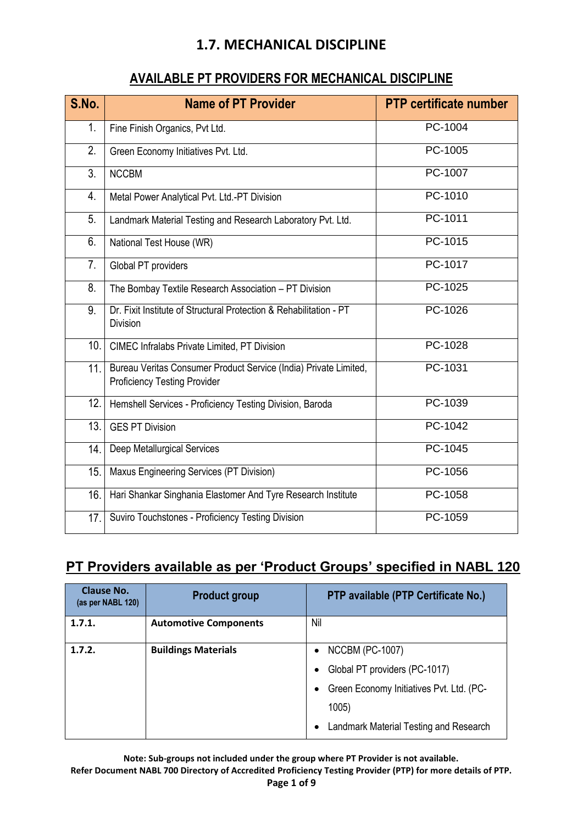#### **AVAILABLE PT PROVIDERS FOR MECHANICAL DISCIPLINE**

| S.No. | <b>Name of PT Provider</b>                                                                              | <b>PTP certificate number</b> |
|-------|---------------------------------------------------------------------------------------------------------|-------------------------------|
| 1.    | Fine Finish Organics, Pvt Ltd.                                                                          | PC-1004                       |
| 2.    | Green Economy Initiatives Pvt. Ltd.                                                                     | PC-1005                       |
| 3.    | <b>NCCBM</b>                                                                                            | PC-1007                       |
| 4.    | Metal Power Analytical Pvt. Ltd.-PT Division                                                            | PC-1010                       |
| 5.    | Landmark Material Testing and Research Laboratory Pvt. Ltd.                                             | PC-1011                       |
| 6.    | National Test House (WR)                                                                                | PC-1015                       |
| 7.    | Global PT providers                                                                                     | PC-1017                       |
| 8.    | The Bombay Textile Research Association - PT Division                                                   | PC-1025                       |
| 9.    | Dr. Fixit Institute of Structural Protection & Rehabilitation - PT<br><b>Division</b>                   | PC-1026                       |
| 10.   | <b>CIMEC Infralabs Private Limited, PT Division</b>                                                     | $PC-1028$                     |
| 11.   | Bureau Veritas Consumer Product Service (India) Private Limited,<br><b>Proficiency Testing Provider</b> | PC-1031                       |
| 12.   | Hemshell Services - Proficiency Testing Division, Baroda                                                | PC-1039                       |
| 13.   | <b>GES PT Division</b>                                                                                  | PC-1042                       |
| 14.   | <b>Deep Metallurgical Services</b>                                                                      | PC-1045                       |
| 15.   | Maxus Engineering Services (PT Division)                                                                | PC-1056                       |
| 16.   | Hari Shankar Singhania Elastomer And Tyre Research Institute                                            | PC-1058                       |
| 17.   | Suviro Touchstones - Proficiency Testing Division                                                       | PC-1059                       |

# **PT Providers available as per 'Product Groups' specified in NABL 120**

| <b>Clause No.</b><br>(as per NABL 120) | <b>Product group</b>         | PTP available (PTP Certificate No.)      |
|----------------------------------------|------------------------------|------------------------------------------|
| 1.7.1.                                 | <b>Automotive Components</b> | Nil                                      |
| 1.7.2.                                 | <b>Buildings Materials</b>   | <b>NCCBM (PC-1007)</b><br>$\bullet$      |
|                                        |                              | Global PT providers (PC-1017)            |
|                                        |                              | Green Economy Initiatives Pvt. Ltd. (PC- |
|                                        |                              | 1005)                                    |
|                                        |                              | Landmark Material Testing and Research   |

**Note: Sub-groups not included under the group where PT Provider is not available.**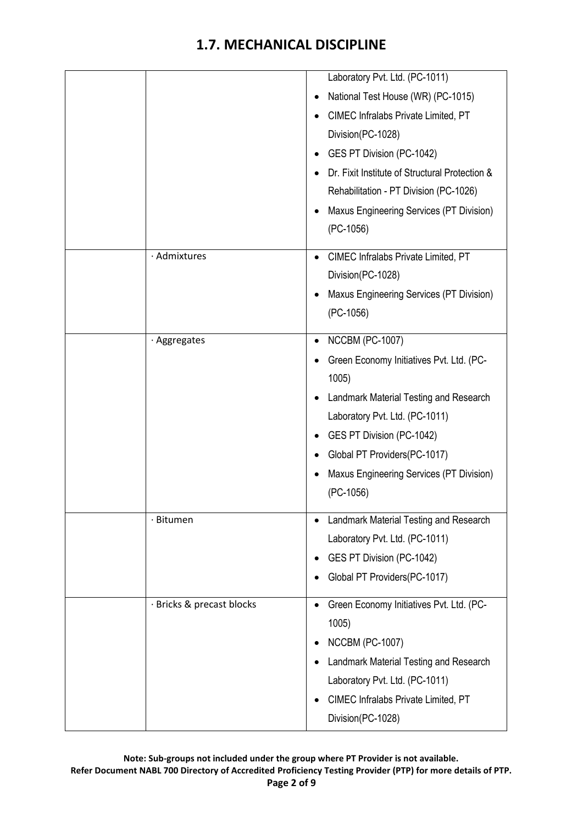|                           | Laboratory Pvt. Ltd. (PC-1011)                   |
|---------------------------|--------------------------------------------------|
|                           | National Test House (WR) (PC-1015)               |
|                           | CIMEC Infralabs Private Limited, PT              |
|                           | Division(PC-1028)                                |
|                           | GES PT Division (PC-1042)<br>٠                   |
|                           | Dr. Fixit Institute of Structural Protection &   |
|                           | Rehabilitation - PT Division (PC-1026)           |
|                           | Maxus Engineering Services (PT Division)         |
|                           | $(PC-1056)$                                      |
| · Admixtures              | CIMEC Infralabs Private Limited, PT<br>$\bullet$ |
|                           | Division(PC-1028)                                |
|                           | Maxus Engineering Services (PT Division)         |
|                           | (PC-1056)                                        |
| · Aggregates              | <b>NCCBM (PC-1007)</b><br>$\bullet$              |
|                           | Green Economy Initiatives Pvt. Ltd. (PC-         |
|                           | 1005)                                            |
|                           | Landmark Material Testing and Research           |
|                           | Laboratory Pvt. Ltd. (PC-1011)                   |
|                           | GES PT Division (PC-1042)<br>٠                   |
|                           | Global PT Providers(PC-1017)                     |
|                           | Maxus Engineering Services (PT Division)         |
|                           | (PC-1056)                                        |
| · Bitumen                 | Landmark Material Testing and Research           |
|                           | Laboratory Pvt. Ltd. (PC-1011)                   |
|                           | GES PT Division (PC-1042)                        |
|                           | Global PT Providers(PC-1017)                     |
| · Bricks & precast blocks | Green Economy Initiatives Pvt. Ltd. (PC-         |
|                           | 1005)                                            |
|                           | <b>NCCBM (PC-1007)</b><br>٠                      |
|                           | Landmark Material Testing and Research           |
|                           | Laboratory Pvt. Ltd. (PC-1011)                   |
|                           | CIMEC Infralabs Private Limited, PT              |
|                           | Division(PC-1028)                                |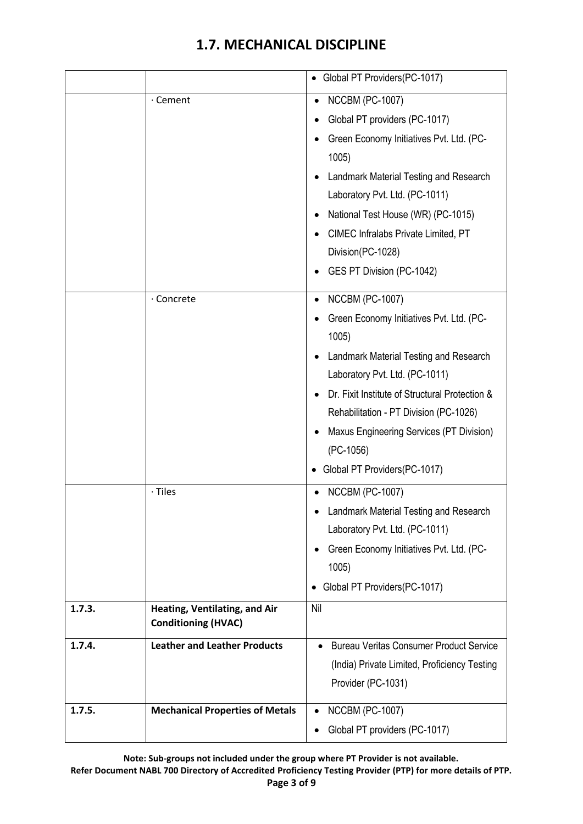|        |                                                             | • Global PT Providers(PC-1017)                                                                                                                                                                                                                                                                                                               |
|--------|-------------------------------------------------------------|----------------------------------------------------------------------------------------------------------------------------------------------------------------------------------------------------------------------------------------------------------------------------------------------------------------------------------------------|
|        | · Cement                                                    | <b>NCCBM (PC-1007)</b><br>Global PT providers (PC-1017)<br>Green Economy Initiatives Pvt. Ltd. (PC-<br>1005)<br>Landmark Material Testing and Research<br>Laboratory Pvt. Ltd. (PC-1011)<br>National Test House (WR) (PC-1015)<br>CIMEC Infralabs Private Limited, PT<br>Division(PC-1028)<br>GES PT Division (PC-1042)                      |
|        | · Concrete                                                  | <b>NCCBM (PC-1007)</b><br>Green Economy Initiatives Pvt. Ltd. (PC-<br>1005)<br>Landmark Material Testing and Research<br>Laboratory Pvt. Ltd. (PC-1011)<br>Dr. Fixit Institute of Structural Protection &<br>Rehabilitation - PT Division (PC-1026)<br>Maxus Engineering Services (PT Division)<br>(PC-1056)<br>Global PT Providers(PC-1017) |
|        | $\cdot$ Tiles                                               | <b>NCCBM (PC-1007)</b><br>Landmark Material Testing and Research<br>Laboratory Pvt. Ltd. (PC-1011)<br>Green Economy Initiatives Pvt. Ltd. (PC-<br>1005)<br>Global PT Providers(PC-1017)                                                                                                                                                      |
| 1.7.3. | Heating, Ventilating, and Air<br><b>Conditioning (HVAC)</b> | Nil                                                                                                                                                                                                                                                                                                                                          |
| 1.7.4. | <b>Leather and Leather Products</b>                         | <b>Bureau Veritas Consumer Product Service</b><br>(India) Private Limited, Proficiency Testing<br>Provider (PC-1031)                                                                                                                                                                                                                         |
| 1.7.5. | <b>Mechanical Properties of Metals</b>                      | <b>NCCBM (PC-1007)</b><br>$\bullet$<br>Global PT providers (PC-1017)                                                                                                                                                                                                                                                                         |

**Note: Sub-groups not included under the group where PT Provider is not available.**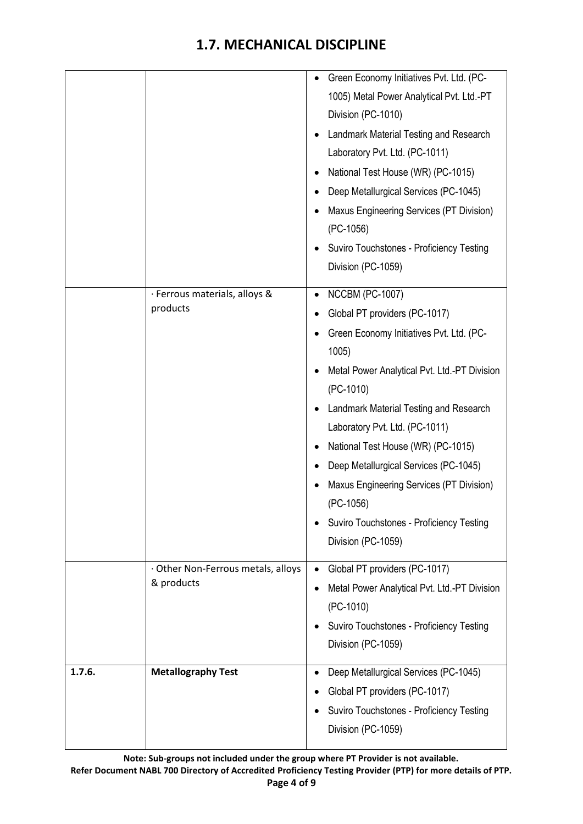|        |                                    | Green Economy Initiatives Pvt. Ltd. (PC-<br>$\bullet$ |
|--------|------------------------------------|-------------------------------------------------------|
|        |                                    | 1005) Metal Power Analytical Pvt. Ltd.-PT             |
|        |                                    | Division (PC-1010)                                    |
|        |                                    | Landmark Material Testing and Research                |
|        |                                    | Laboratory Pvt. Ltd. (PC-1011)                        |
|        |                                    | National Test House (WR) (PC-1015)<br>٠               |
|        |                                    | Deep Metallurgical Services (PC-1045)                 |
|        |                                    | Maxus Engineering Services (PT Division)              |
|        |                                    | (PC-1056)                                             |
|        |                                    | Suviro Touchstones - Proficiency Testing              |
|        |                                    | Division (PC-1059)                                    |
|        | · Ferrous materials, alloys &      | <b>NCCBM (PC-1007)</b><br>٠                           |
|        | products                           | Global PT providers (PC-1017)<br>٠                    |
|        |                                    | Green Economy Initiatives Pvt. Ltd. (PC-              |
|        |                                    | 1005)                                                 |
|        |                                    | Metal Power Analytical Pvt. Ltd.-PT Division          |
|        |                                    | $(PC-1010)$                                           |
|        |                                    | Landmark Material Testing and Research                |
|        |                                    | Laboratory Pvt. Ltd. (PC-1011)                        |
|        |                                    | National Test House (WR) (PC-1015)                    |
|        |                                    | Deep Metallurgical Services (PC-1045)                 |
|        |                                    | Maxus Engineering Services (PT Division)<br>(PC-1056) |
|        |                                    | Suviro Touchstones - Proficiency Testing              |
|        |                                    | Division (PC-1059)                                    |
|        | · Other Non-Ferrous metals, alloys | Global PT providers (PC-1017)<br>$\bullet$            |
|        | & products                         | Metal Power Analytical Pvt. Ltd.-PT Division<br>٠     |
|        |                                    | (PC-1010)                                             |
|        |                                    | Suviro Touchstones - Proficiency Testing              |
|        |                                    | Division (PC-1059)                                    |
| 1.7.6. | <b>Metallography Test</b>          | Deep Metallurgical Services (PC-1045)<br>٠            |
|        |                                    | Global PT providers (PC-1017)<br>٠                    |
|        |                                    | Suviro Touchstones - Proficiency Testing              |
|        |                                    | Division (PC-1059)                                    |
|        |                                    |                                                       |

**Note: Sub-groups not included under the group where PT Provider is not available.**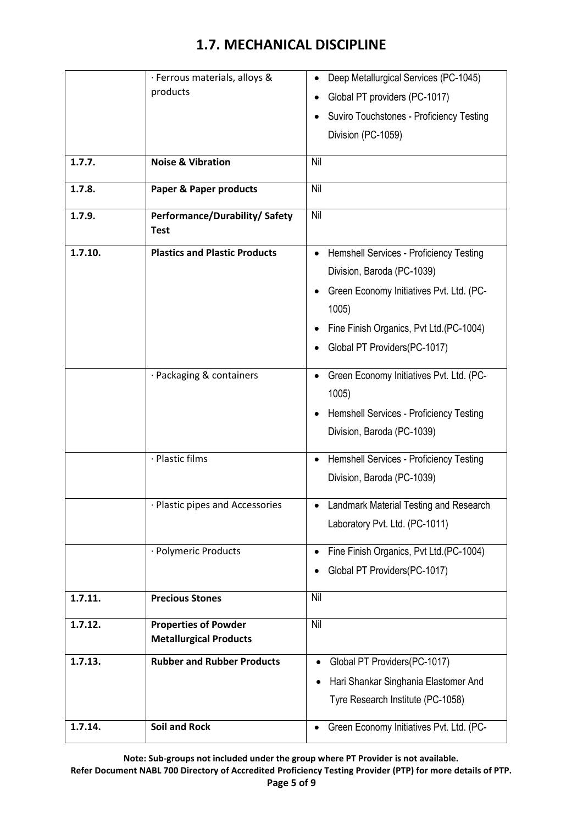|         | · Ferrous materials, alloys &                 | Deep Metallurgical Services (PC-1045)                 |
|---------|-----------------------------------------------|-------------------------------------------------------|
|         | products                                      | Global PT providers (PC-1017)<br>٠                    |
|         |                                               | Suviro Touchstones - Proficiency Testing<br>٠         |
|         |                                               | Division (PC-1059)                                    |
|         |                                               |                                                       |
| 1.7.7.  | <b>Noise &amp; Vibration</b>                  | Nil                                                   |
| 1.7.8.  | <b>Paper &amp; Paper products</b>             | Nil                                                   |
| 1.7.9.  | Performance/Durability/ Safety<br><b>Test</b> | Nil                                                   |
| 1.7.10. | <b>Plastics and Plastic Products</b>          | Hemshell Services - Proficiency Testing<br>$\bullet$  |
|         |                                               | Division, Baroda (PC-1039)                            |
|         |                                               | Green Economy Initiatives Pvt. Ltd. (PC-<br>٠         |
|         |                                               | 1005)                                                 |
|         |                                               | Fine Finish Organics, Pvt Ltd.(PC-1004)<br>$\bullet$  |
|         |                                               | Global PT Providers(PC-1017)                          |
|         |                                               |                                                       |
|         | · Packaging & containers                      | Green Economy Initiatives Pvt. Ltd. (PC-<br>$\bullet$ |
|         |                                               | 1005)                                                 |
|         |                                               | Hemshell Services - Proficiency Testing<br>$\bullet$  |
|         |                                               | Division, Baroda (PC-1039)                            |
|         | · Plastic films                               | Hemshell Services - Proficiency Testing<br>$\bullet$  |
|         |                                               | Division, Baroda (PC-1039)                            |
|         |                                               |                                                       |
|         | · Plastic pipes and Accessories               | Landmark Material Testing and Research<br>$\bullet$   |
|         |                                               | Laboratory Pvt. Ltd. (PC-1011)                        |
|         | · Polymeric Products                          | Fine Finish Organics, Pvt Ltd.(PC-1004)<br>$\bullet$  |
|         |                                               | Global PT Providers(PC-1017)                          |
|         |                                               |                                                       |
| 1.7.11. | <b>Precious Stones</b>                        | Nil                                                   |
| 1.7.12. | <b>Properties of Powder</b>                   | Nil                                                   |
|         | <b>Metallurgical Products</b>                 |                                                       |
| 1.7.13. | <b>Rubber and Rubber Products</b>             | Global PT Providers(PC-1017)                          |
|         |                                               | Hari Shankar Singhania Elastomer And                  |
|         |                                               | Tyre Research Institute (PC-1058)                     |
| 1.7.14. | <b>Soil and Rock</b>                          | Green Economy Initiatives Pvt. Ltd. (PC-<br>$\bullet$ |
|         |                                               |                                                       |

**Note: Sub-groups not included under the group where PT Provider is not available.**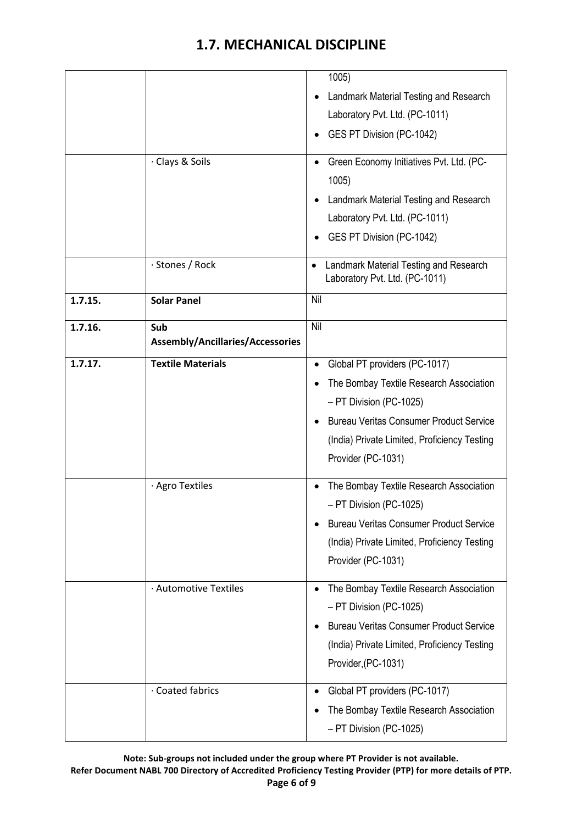|         |                                  | 1005)                                                                    |
|---------|----------------------------------|--------------------------------------------------------------------------|
|         |                                  | Landmark Material Testing and Research<br>$\bullet$                      |
|         |                                  | Laboratory Pvt. Ltd. (PC-1011)                                           |
|         |                                  | GES PT Division (PC-1042)<br>$\bullet$                                   |
|         |                                  |                                                                          |
|         | · Clays & Soils                  | Green Economy Initiatives Pvt. Ltd. (PC-<br>$\bullet$                    |
|         |                                  | 1005)                                                                    |
|         |                                  | Landmark Material Testing and Research<br>$\bullet$                      |
|         |                                  | Laboratory Pvt. Ltd. (PC-1011)                                           |
|         |                                  | GES PT Division (PC-1042)                                                |
|         | · Stones / Rock                  | Landmark Material Testing and Research<br>Laboratory Pvt. Ltd. (PC-1011) |
| 1.7.15. | <b>Solar Panel</b>               | Nil                                                                      |
| 1.7.16. | Sub                              | Nil                                                                      |
|         | Assembly/Ancillaries/Accessories |                                                                          |
| 1.7.17. | <b>Textile Materials</b>         | Global PT providers (PC-1017)<br>$\bullet$                               |
|         |                                  | The Bombay Textile Research Association<br>$\bullet$                     |
|         |                                  | - PT Division (PC-1025)                                                  |
|         |                                  | <b>Bureau Veritas Consumer Product Service</b><br>$\bullet$              |
|         |                                  | (India) Private Limited, Proficiency Testing                             |
|         |                                  | Provider (PC-1031)                                                       |
|         | · Agro Textiles                  | The Bombay Textile Research Association<br>$\bullet$                     |
|         |                                  | - PT Division (PC-1025)                                                  |
|         |                                  | <b>Bureau Veritas Consumer Product Service</b>                           |
|         |                                  | (India) Private Limited, Proficiency Testing                             |
|         |                                  | Provider (PC-1031)                                                       |
|         |                                  |                                                                          |
|         | · Automotive Textiles            | The Bombay Textile Research Association                                  |
|         |                                  | - PT Division (PC-1025)                                                  |
|         |                                  | <b>Bureau Veritas Consumer Product Service</b>                           |
|         |                                  | (India) Private Limited, Proficiency Testing                             |
|         |                                  | Provider, (PC-1031)                                                      |
|         | · Coated fabrics                 | Global PT providers (PC-1017)<br>$\bullet$                               |
|         |                                  | The Bombay Textile Research Association                                  |
|         |                                  | - PT Division (PC-1025)                                                  |
|         |                                  |                                                                          |

**Note: Sub-groups not included under the group where PT Provider is not available.**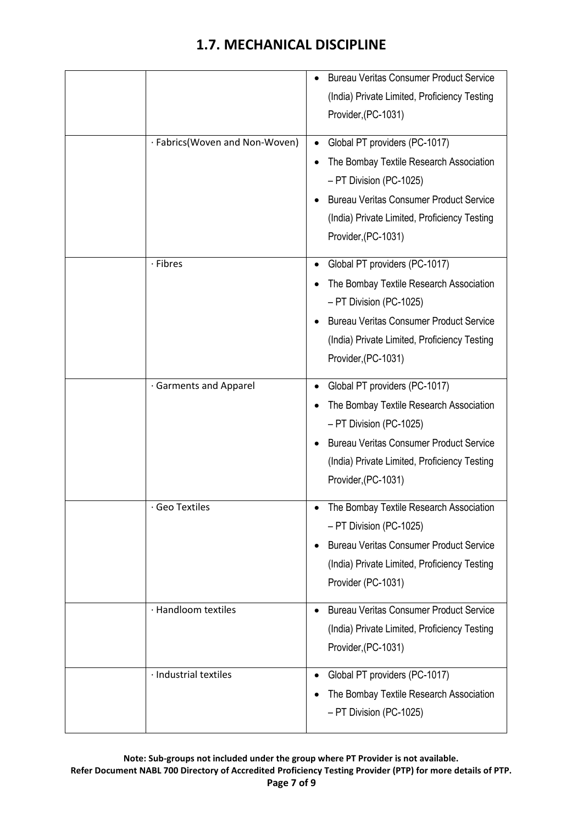|                                | <b>Bureau Veritas Consumer Product Service</b><br>(India) Private Limited, Proficiency Testing<br>Provider, (PC-1031)                                                                                                                     |
|--------------------------------|-------------------------------------------------------------------------------------------------------------------------------------------------------------------------------------------------------------------------------------------|
| · Fabrics(Woven and Non-Woven) | Global PT providers (PC-1017)<br>$\bullet$<br>The Bombay Textile Research Association<br>- PT Division (PC-1025)<br><b>Bureau Veritas Consumer Product Service</b><br>(India) Private Limited, Proficiency Testing<br>Provider, (PC-1031) |
| · Fibres                       | Global PT providers (PC-1017)<br>٠<br>The Bombay Textile Research Association<br>- PT Division (PC-1025)<br><b>Bureau Veritas Consumer Product Service</b><br>(India) Private Limited, Proficiency Testing<br>Provider, (PC-1031)         |
| · Garments and Apparel         | Global PT providers (PC-1017)<br>The Bombay Textile Research Association<br>- PT Division (PC-1025)<br><b>Bureau Veritas Consumer Product Service</b><br>(India) Private Limited, Proficiency Testing<br>Provider, (PC-1031)              |
| $\cdot$ Geo Textiles           | The Bombay Textile Research Association<br>- PT Division (PC-1025)<br><b>Bureau Veritas Consumer Product Service</b><br>(India) Private Limited, Proficiency Testing<br>Provider (PC-1031)                                                |
| · Handloom textiles            | <b>Bureau Veritas Consumer Product Service</b><br>$\bullet$<br>(India) Private Limited, Proficiency Testing<br>Provider, (PC-1031)                                                                                                        |
| · Industrial textiles          | Global PT providers (PC-1017)<br>$\bullet$<br>The Bombay Textile Research Association<br>- PT Division (PC-1025)                                                                                                                          |

**Note: Sub-groups not included under the group where PT Provider is not available. Refer Document NABL 700 Directory of Accredited Proficiency Testing Provider (PTP) for more details of PTP. Page 7 of 9**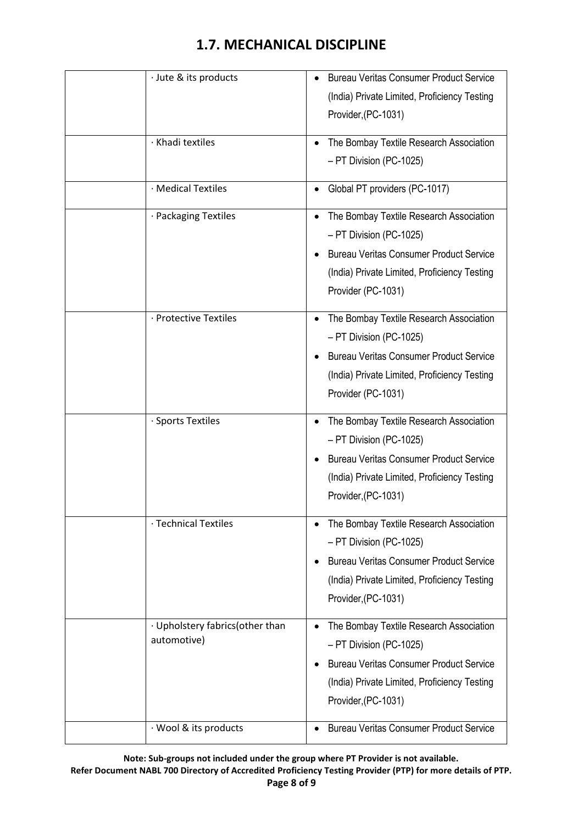| · Jute & its products            | <b>Bureau Veritas Consumer Product Service</b>       |
|----------------------------------|------------------------------------------------------|
|                                  | (India) Private Limited, Proficiency Testing         |
|                                  | Provider, (PC-1031)                                  |
| · Khadi textiles                 |                                                      |
|                                  | The Bombay Textile Research Association<br>$\bullet$ |
|                                  | - PT Division (PC-1025)                              |
| · Medical Textiles               | Global PT providers (PC-1017)<br>٠                   |
| · Packaging Textiles             | The Bombay Textile Research Association<br>$\bullet$ |
|                                  | - PT Division (PC-1025)                              |
|                                  | <b>Bureau Veritas Consumer Product Service</b>       |
|                                  | (India) Private Limited, Proficiency Testing         |
|                                  | Provider (PC-1031)                                   |
| · Protective Textiles            | The Bombay Textile Research Association              |
|                                  | $\bullet$                                            |
|                                  | - PT Division (PC-1025)                              |
|                                  | <b>Bureau Veritas Consumer Product Service</b>       |
|                                  | (India) Private Limited, Proficiency Testing         |
|                                  | Provider (PC-1031)                                   |
| · Sports Textiles                | The Bombay Textile Research Association<br>$\bullet$ |
|                                  | - PT Division (PC-1025)                              |
|                                  | <b>Bureau Veritas Consumer Product Service</b>       |
|                                  | (India) Private Limited, Proficiency Testing         |
|                                  | Provider, (PC-1031)                                  |
| · Technical Textiles             | The Bombay Textile Research Association              |
|                                  | - PT Division (PC-1025)                              |
|                                  | <b>Bureau Veritas Consumer Product Service</b>       |
|                                  | (India) Private Limited, Proficiency Testing         |
|                                  | Provider, (PC-1031)                                  |
|                                  |                                                      |
| · Upholstery fabrics (other than | The Bombay Textile Research Association              |
| automotive)                      | - PT Division (PC-1025)                              |
|                                  | <b>Bureau Veritas Consumer Product Service</b>       |
|                                  | (India) Private Limited, Proficiency Testing         |
|                                  | Provider, (PC-1031)                                  |
| · Wool & its products            | <b>Bureau Veritas Consumer Product Service</b>       |
|                                  |                                                      |

**Note: Sub-groups not included under the group where PT Provider is not available.**